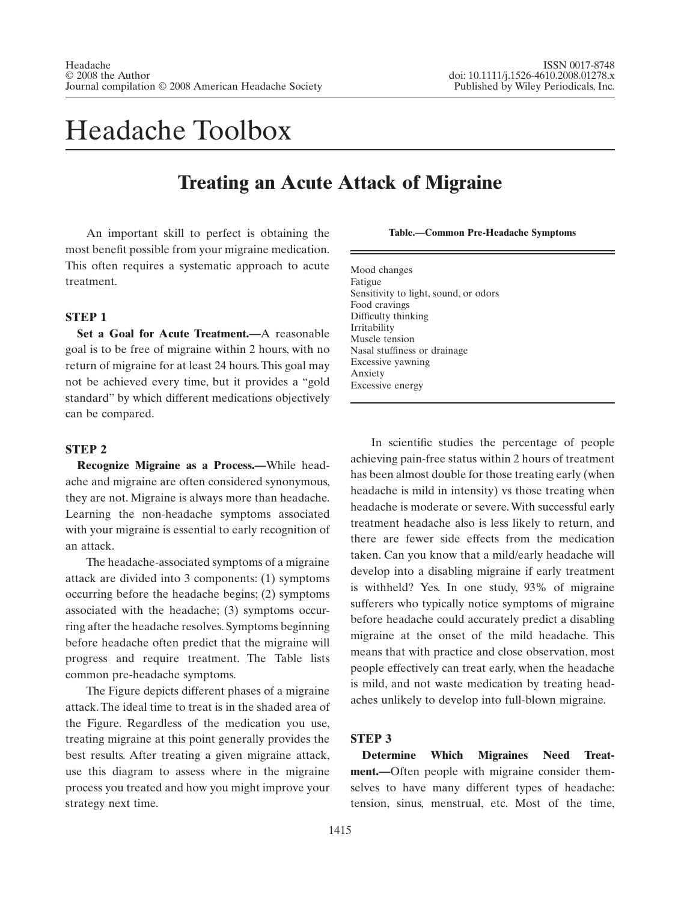# Headache Toolbox

# **Treating an Acute Attack of Migraine**

An important skill to perfect is obtaining the most benefit possible from your migraine medication. This often requires a systematic approach to acute treatment.

# **STEP 1**

**Set a Goal for Acute Treatment.—**A reasonable goal is to be free of migraine within 2 hours, with no return of migraine for at least 24 hours.This goal may not be achieved every time, but it provides a "gold standard" by which different medications objectively can be compared.

### **STEP 2**

**Recognize Migraine as a Process.—**While headache and migraine are often considered synonymous, they are not. Migraine is always more than headache. Learning the non-headache symptoms associated with your migraine is essential to early recognition of an attack.

The headache-associated symptoms of a migraine attack are divided into 3 components: (1) symptoms occurring before the headache begins; (2) symptoms associated with the headache; (3) symptoms occurring after the headache resolves. Symptoms beginning before headache often predict that the migraine will progress and require treatment. The Table lists common pre-headache symptoms.

The Figure depicts different phases of a migraine attack. The ideal time to treat is in the shaded area of the Figure. Regardless of the medication you use, treating migraine at this point generally provides the best results. After treating a given migraine attack, use this diagram to assess where in the migraine process you treated and how you might improve your strategy next time.

#### **Table.—Common Pre-Headache Symptoms**

Mood changes Fatigue Sensitivity to light, sound, or odors Food cravings Difficulty thinking Irritability Muscle tension Nasal stuffiness or drainage Excessive yawning Anxiety Excessive energy

In scientific studies the percentage of people achieving pain-free status within 2 hours of treatment has been almost double for those treating early (when headache is mild in intensity) vs those treating when headache is moderate or severe.With successful early treatment headache also is less likely to return, and there are fewer side effects from the medication taken. Can you know that a mild/early headache will develop into a disabling migraine if early treatment is withheld? Yes. In one study, 93% of migraine sufferers who typically notice symptoms of migraine before headache could accurately predict a disabling migraine at the onset of the mild headache. This means that with practice and close observation, most people effectively can treat early, when the headache is mild, and not waste medication by treating headaches unlikely to develop into full-blown migraine.

# **STEP 3**

**Determine Which Migraines Need Treatment.—**Often people with migraine consider themselves to have many different types of headache: tension, sinus, menstrual, etc. Most of the time,